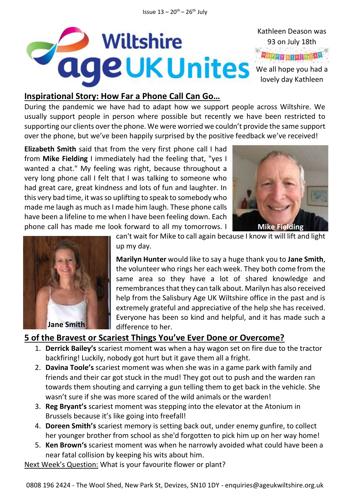

### **Inspirational Story: How Far a Phone Call Can Go…**

During the pandemic we have had to adapt how we support people across Wiltshire. We usually support people in person where possible but recently we have been restricted to supporting our clients over the phone. We were worried we couldn't provide the same support over the phone, but we've been happily surprised by the positive feedback we've received!

**Elizabeth Smith** said that from the very first phone call I had from **Mike Fielding** I immediately had the feeling that, "yes I wanted a chat." My feeling was right, because throughout a very long phone call I felt that I was talking to someone who had great care, great kindness and lots of fun and laughter. In this very bad time, it was so uplifting to speak to somebody who made me laugh as much as I made him laugh. These phone calls have been a lifeline to me when I have been feeling down. Each phone call has made me look forward to all my tomorrows. I





**Jane Smith**

can't wait for Mike to call again because I know it will lift and light up my day.

**Marilyn Hunter** would like to say a huge thank you to **Jane Smith**, the volunteer who rings her each week. They both come from the same area so they have a lot of shared knowledge and remembrances that they can talk about. Marilyn has also received help from the Salisbury Age UK Wiltshire office in the past and is extremely grateful and appreciative of the help she has received. Everyone has been so kind and helpful, and it has made such a difference to her.

### **5 of the Bravest or Scariest Things You've Ever Done or Overcome?**

- 1. **Derrick Bailey's** scariest moment was when a hay wagon set on fire due to the tractor backfiring! Luckily, nobody got hurt but it gave them all a fright.
- 2. **Davina Toole's** scariest moment was when she was in a game park with family and friends and their car got stuck in the mud! They got out to push and the warden ran towards them shouting and carrying a gun telling them to get back in the vehicle. She wasn't sure if she was more scared of the wild animals or the warden!
- 3. **Reg Bryant's** scariest moment was stepping into the elevator at the Atonium in Brussels because it's like going into freefall!
- 4. **Doreen Smith's** scariest memory is setting back out, under enemy gunfire, to collect her younger brother from school as she'd forgotten to pick him up on her way home!
- 5. **Ken Brown's** scariest moment was when he narrowly avoided what could have been a near fatal collision by keeping his wits about him.

Next Week's Question: What is your favourite flower or plant?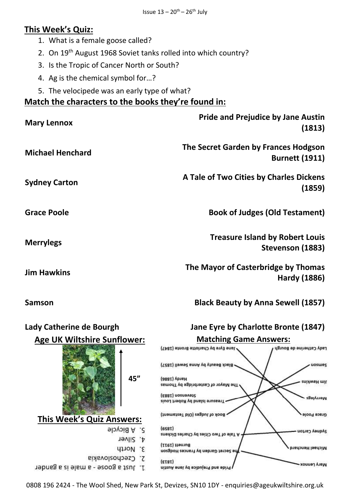# **This Week's Quiz:**

- 1. What is a female goose called?
- 2. On 19<sup>th</sup> August 1968 Soviet tanks rolled into which country?
- 3. Is the Tropic of Cancer North or South?
- 4. Ag is the chemical symbol for…?
- 5. The velocipede was an early type of what?

## **Match the characters to the books they're found in:**

| <b>Mary Lennox</b>      | <b>Pride and Prejudice by Jane Austin</b><br>(1813)           |
|-------------------------|---------------------------------------------------------------|
| <b>Michael Henchard</b> | The Secret Garden by Frances Hodgson<br><b>Burnett (1911)</b> |
| <b>Sydney Carton</b>    | A Tale of Two Cities by Charles Dickens<br>(1859)             |
| <b>Grace Poole</b>      | <b>Book of Judges (Old Testament)</b>                         |
| <b>Merrylegs</b>        | <b>Treasure Island by Robert Louis</b><br>Stevenson (1883)    |
| <b>Jim Hawkins</b>      | The Mayor of Casterbridge by Thomas<br>Hardy (1886)           |

**Samson Black Beauty by Anna Sewell (1857)**



0808 196 2424 - The Wool Shed, New Park St, Devizes, SN10 1DY - enquiries@ageukwiltshire.org.uk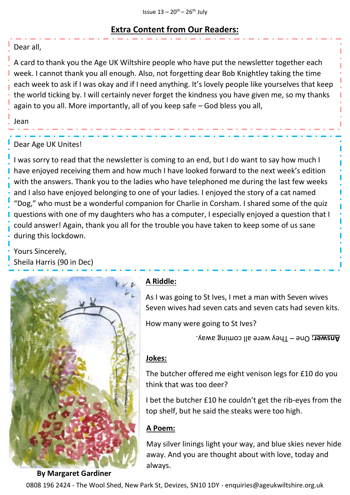## **Extra Content from Our Readers:**

#### Dear all,

A card to thank you the Age UK Wiltshire people who have put the newsletter together each week. I cannot thank you all enough. Also, not forgetting dear Bob Knightley taking the time each week to ask if I was okay and if I need anything. It's lovely people like yourselves that keep the world ticking by. I will certainly never forget the kindness you have given me, so my thanks again to you all. More importantly, all of you keep safe – God bless you all,

Jean

#### Dear Age UK Unites!

I was sorry to read that the newsletter is coming to an end, but I do want to say how much I have enjoyed receiving them and how much I have looked forward to the next week's edition with the answers. Thank you to the ladies who have telephoned me during the last few weeks and I also have enjoyed belonging to one of your ladies. I enjoyed the story of a cat named "Dog," who must be a wonderful companion for Charlie in Corsham. I shared some of the quiz questions with one of my daughters who has a computer, I especially enjoyed a question that I could answer! Again, thank you all for the trouble you have taken to keep some of us sane during this lockdown.

Yours Sincerely, Sheila Harris (90 in Dec)



### **A Riddle:**

As I was going to St Ives, I met a man with Seven wives Seven wives had seven cats and seven cats had seven kits.

How many were going to St Ives?

**Answer:** One – They were all coming away.

#### **Jokes:**

The butcher offered me eight venison legs for £10 do you think that was too deer?

I bet the butcher £10 he couldn't get the rib-eyes from the top shelf, but he said the steaks were too high.

#### **A Poem:**

May silver linings light your way, and blue skies never hide away. And you are thought about with love, today and always.

0808 196 2424 - The Wool Shed, New Park St, Devizes, SN10 1DY - enquiries@ageukwiltshire.org.uk